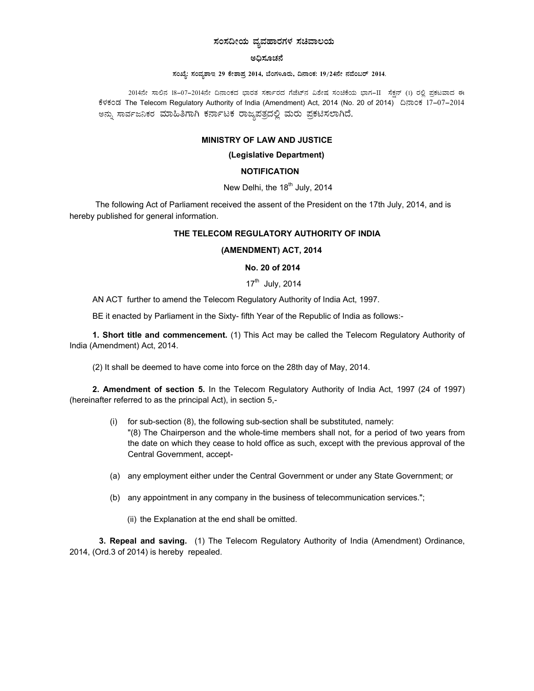# ಸಂಸದೀಯ ವ್ಯವಹಾರಗಳ ಸಚಿವಾಲಯ

### ಅದಿಸೂಚನೆ

### ಸಂಖ್ಯೆ: ಸಂವೃಶಾಇ 29 ಕೇಶಾಪ್ತ 2014, ಬೆಂಗಳೂರು, ದಿನಾಂಕ: 19/24ನೇ ನವೆಂಬರ್ 2014.

2014ನೇ ಸಾಲಿನ 18-07-2014ನೇ ದಿನಾಂಕದ ಭಾರತ ಸರ್ಕಾರದ ಗೆಜೆಟ್ ವಿಶೇಷ ಸಂಚಿಕೆಯ ಭಾಗ-II ಸೆಕ್ಷನ್ (1) ರಲ್ಲಿ ಪ್ರಕಟವಾದ ಈ ಕೆಳಕಂಡ The Telecom Regulatory Authority of India (Amendment) Act, 2014 (No. 20 of 2014) ದಿನಾಂಕ 17-07-2014 ಅನ್ನು ಸಾರ್ವಜನಿಕರ ಮಾಹಿತಿಗಾಗಿ ಕರ್ನಾಟಕ ರಾಜ್ಯಪತ್ರದಲ್ಲಿ ಮರು ಪ್ರಕಟಿಸಲಾಗಿದೆ.

# **MINISTRY OF LAW AND JUSTICE**

### (Legislative Department)

## **NOTIFICATION**

# New Delhi, the 18<sup>th</sup> July, 2014

The following Act of Parliament received the assent of the President on the 17th July, 2014, and is hereby published for general information.

## THE TELECOM REGULATORY AUTHORITY OF INDIA

## (AMENDMENT) ACT, 2014

## No. 20 of 2014

# 17<sup>th</sup> July, 2014

AN ACT further to amend the Telecom Regulatory Authority of India Act, 1997.

BE it enacted by Parliament in the Sixty- fifth Year of the Republic of India as follows:-

1. Short title and commencement. (1) This Act may be called the Telecom Regulatory Authority of India (Amendment) Act, 2014.

(2) It shall be deemed to have come into force on the 28th day of May, 2014.

2. Amendment of section 5. In the Telecom Regulatory Authority of India Act, 1997 (24 of 1997) (hereinafter referred to as the principal Act), in section 5,-

- (i) for sub-section (8), the following sub-section shall be substituted, namely: "(8) The Chairperson and the whole-time members shall not, for a period of two years from the date on which they cease to hold office as such, except with the previous approval of the Central Government, accept-
- (a) any employment either under the Central Government or under any State Government; or
- (b) any appointment in any company in the business of telecommunication services.";
	- (ii) the Explanation at the end shall be omitted.

3. Repeal and saving. (1) The Telecom Regulatory Authority of India (Amendment) Ordinance, 2014, (Ord.3 of 2014) is hereby repealed.